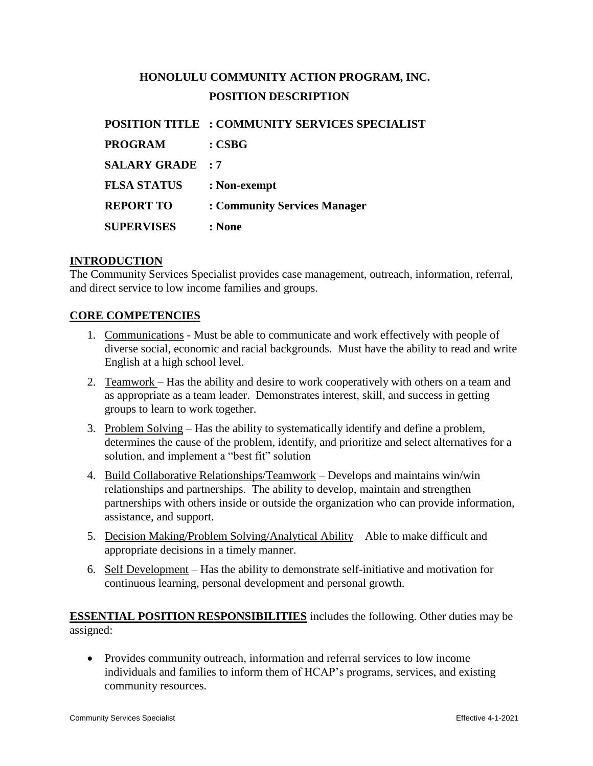# **HONOLULU COMMUNITY ACTION PROGRAM, INC. POSITION DESCRIPTION**

|                         | <b>POSITION TITLE : COMMUNITY SERVICES SPECIALIST</b> |
|-------------------------|-------------------------------------------------------|
| <b>PROGRAM</b>          | $: \mathbf{CSBG}$                                     |
| <b>SALARY GRADE : 7</b> |                                                       |
| <b>FLSA STATUS</b>      | : Non-exempt                                          |
| <b>REPORT TO</b>        | : Community Services Manager                          |
| <b>SUPERVISES</b>       | : None                                                |

#### **INTRODUCTION**

The Community Services Specialist provides case management, outreach, information, referral, and direct service to low income families and groups.

#### **CORE COMPETENCIES**

- 1. Communications Must be able to communicate and work effectively with people of diverse social, economic and racial backgrounds. Must have the ability to read and write English at a high school level.
- 2. Teamwork Has the ability and desire to work cooperatively with others on a team and as appropriate as a team leader. Demonstrates interest, skill, and success in getting groups to learn to work together.
- 3. Problem Solving Has the ability to systematically identify and define a problem, determines the cause of the problem, identify, and prioritize and select alternatives for a solution, and implement a "best fit" solution
- 4. Build Collaborative Relationships/Teamwork Develops and maintains win/win relationships and partnerships. The ability to develop, maintain and strengthen partnerships with others inside or outside the organization who can provide information, assistance, and support.
- 5. Decision Making/Problem Solving/Analytical Ability Able to make difficult and appropriate decisions in a timely manner.
- 6. Self Development Has the ability to demonstrate self-initiative and motivation for continuous learning, personal development and personal growth.

**ESSENTIAL POSITION RESPONSIBILITIES** includes the following. Other duties may be assigned:

 Provides community outreach, information and referral services to low income individuals and families to inform them of HCAP's programs, services, and existing community resources.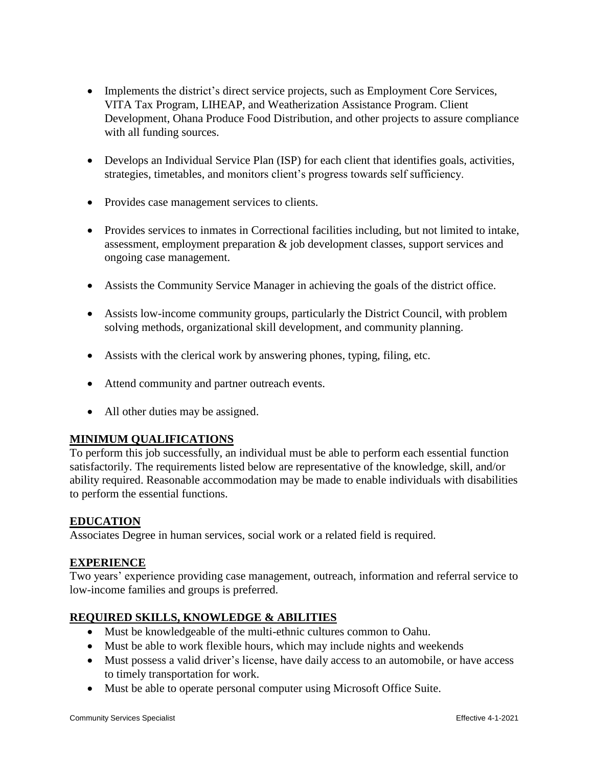- Implements the district's direct service projects, such as Employment Core Services, VITA Tax Program, LIHEAP, and Weatherization Assistance Program. Client Development, Ohana Produce Food Distribution, and other projects to assure compliance with all funding sources.
- Develops an Individual Service Plan (ISP) for each client that identifies goals, activities, strategies, timetables, and monitors client's progress towards self sufficiency.
- Provides case management services to clients.
- Provides services to inmates in Correctional facilities including, but not limited to intake, assessment, employment preparation & job development classes, support services and ongoing case management.
- Assists the Community Service Manager in achieving the goals of the district office.
- Assists low-income community groups, particularly the District Council, with problem solving methods, organizational skill development, and community planning.
- Assists with the clerical work by answering phones, typing, filing, etc.
- Attend community and partner outreach events.
- All other duties may be assigned.

### **MINIMUM QUALIFICATIONS**

To perform this job successfully, an individual must be able to perform each essential function satisfactorily. The requirements listed below are representative of the knowledge, skill, and/or ability required. Reasonable accommodation may be made to enable individuals with disabilities to perform the essential functions.

#### **EDUCATION**

Associates Degree in human services, social work or a related field is required.

#### **EXPERIENCE**

Two years' experience providing case management, outreach, information and referral service to low-income families and groups is preferred.

#### **REQUIRED SKILLS, KNOWLEDGE & ABILITIES**

- Must be knowledgeable of the multi-ethnic cultures common to Oahu.
- Must be able to work flexible hours, which may include nights and weekends
- Must possess a valid driver's license, have daily access to an automobile, or have access to timely transportation for work.
- Must be able to operate personal computer using Microsoft Office Suite.